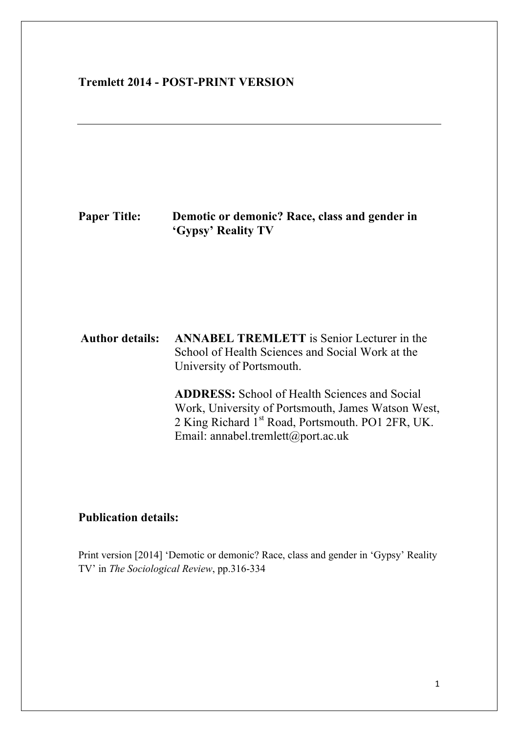# **Tremlett 2014 - POST-PRINT VERSION**

# **Paper Title: Demotic or demonic? Race, class and gender in 'Gypsy' Reality TV**

# **Author details: ANNABEL TREMLETT** is Senior Lecturer in the School of Health Sciences and Social Work at the University of Portsmouth.

**ADDRESS:** School of Health Sciences and Social Work, University of Portsmouth, James Watson West, 2 King Richard 1st Road, Portsmouth. PO1 2FR, UK. Email: annabel.tremlett@port.ac.uk

# **Publication details:**

Print version [2014] 'Demotic or demonic? Race, class and gender in 'Gypsy' Reality TV' in *The Sociological Review*, pp.316-334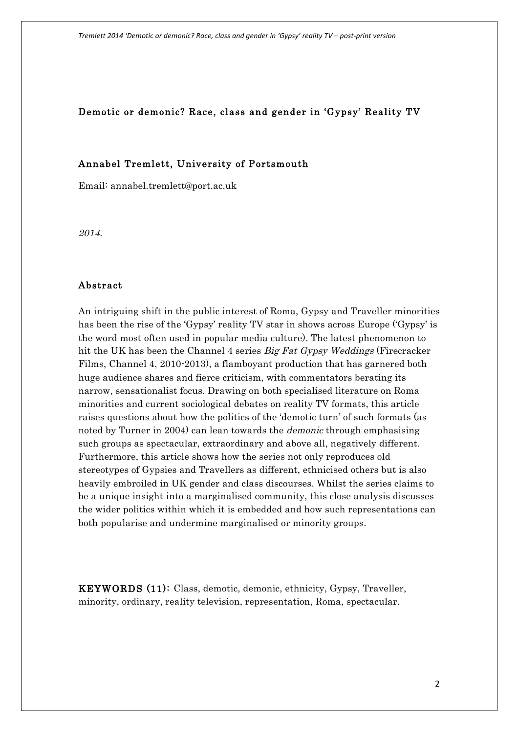#### Demotic or demonic? Race, class and gender in 'Gypsy' Reality TV

#### Annabel Tremlett, University of Portsmouth

Email: annabel.tremlett@port.ac.uk

2014.

#### Abstract

An intriguing shift in the public interest of Roma, Gypsy and Traveller minorities has been the rise of the 'Gypsy' reality TV star in shows across Europe ('Gypsy' is the word most often used in popular media culture). The latest phenomenon to hit the UK has been the Channel 4 series *Big Fat Gypsy Weddings* (Firecracker Films, Channel 4, 2010-2013), a flamboyant production that has garnered both huge audience shares and fierce criticism, with commentators berating its narrow, sensationalist focus. Drawing on both specialised literature on Roma minorities and current sociological debates on reality TV formats, this article raises questions about how the politics of the 'demotic turn' of such formats (as noted by Turner in 2004) can lean towards the demonic through emphasising such groups as spectacular, extraordinary and above all, negatively different. Furthermore, this article shows how the series not only reproduces old stereotypes of Gypsies and Travellers as different, ethnicised others but is also heavily embroiled in UK gender and class discourses. Whilst the series claims to be a unique insight into a marginalised community, this close analysis discusses the wider politics within which it is embedded and how such representations can both popularise and undermine marginalised or minority groups.

KEYWORDS (11): Class, demotic, demonic, ethnicity, Gypsy, Traveller, minority, ordinary, reality television, representation, Roma, spectacular.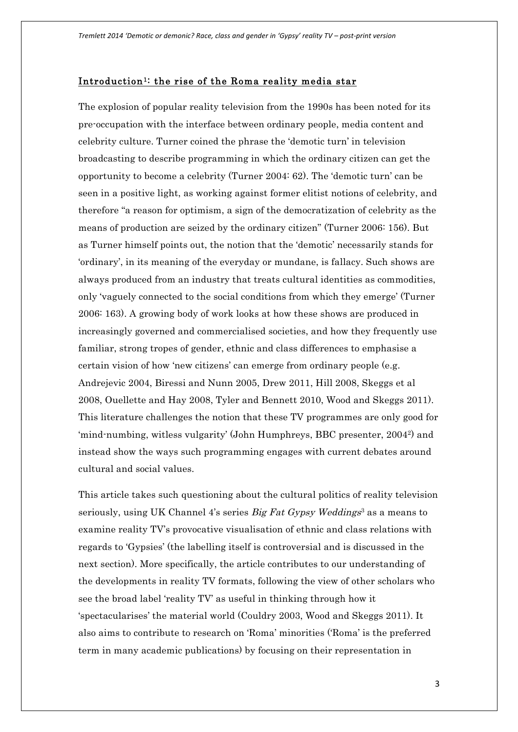#### Introduction<sup>1:</sup> the rise of the Roma reality media star

The explosion of popular reality television from the 1990s has been noted for its pre-occupation with the interface between ordinary people, media content and celebrity culture. Turner coined the phrase the 'demotic turn' in television broadcasting to describe programming in which the ordinary citizen can get the opportunity to become a celebrity (Turner 2004: 62). The 'demotic turn' can be seen in a positive light, as working against former elitist notions of celebrity, and therefore "a reason for optimism, a sign of the democratization of celebrity as the means of production are seized by the ordinary citizen" (Turner 2006: 156). But as Turner himself points out, the notion that the 'demotic' necessarily stands for 'ordinary', in its meaning of the everyday or mundane, is fallacy. Such shows are always produced from an industry that treats cultural identities as commodities, only 'vaguely connected to the social conditions from which they emerge' (Turner 2006: 163). A growing body of work looks at how these shows are produced in increasingly governed and commercialised societies, and how they frequently use familiar, strong tropes of gender, ethnic and class differences to emphasise a certain vision of how 'new citizens' can emerge from ordinary people (e.g. Andrejevic 2004, Biressi and Nunn 2005, Drew 2011, Hill 2008, Skeggs et al 2008, Ouellette and Hay 2008, Tyler and Bennett 2010, Wood and Skeggs 2011). This literature challenges the notion that these TV programmes are only good for 'mind-numbing, witless vulgarity' (John Humphreys, BBC presenter, 20042) and instead show the ways such programming engages with current debates around cultural and social values.

This article takes such questioning about the cultural politics of reality television seriously, using UK Channel 4's series  $Big$  Fat Gypsy Weddings<sup>3</sup> as a means to examine reality TV's provocative visualisation of ethnic and class relations with regards to 'Gypsies' (the labelling itself is controversial and is discussed in the next section). More specifically, the article contributes to our understanding of the developments in reality TV formats, following the view of other scholars who see the broad label 'reality TV' as useful in thinking through how it 'spectacularises' the material world (Couldry 2003, Wood and Skeggs 2011). It also aims to contribute to research on 'Roma' minorities ('Roma' is the preferred term in many academic publications) by focusing on their representation in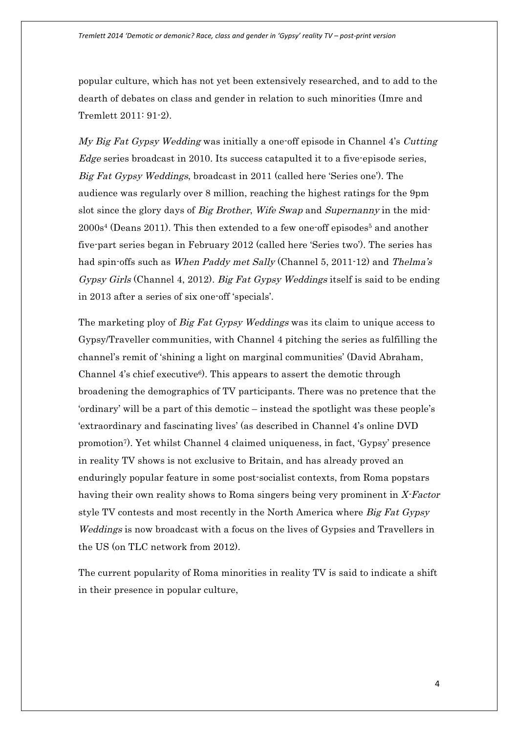popular culture, which has not yet been extensively researched, and to add to the dearth of debates on class and gender in relation to such minorities (Imre and Tremlett 2011: 91-2).

My Big Fat Gypsy Wedding was initially a one-off episode in Channel 4's Cutting Edge series broadcast in 2010. Its success catapulted it to a five-episode series, Big Fat Gypsy Weddings, broadcast in 2011 (called here 'Series one'). The audience was regularly over 8 million, reaching the highest ratings for the 9pm slot since the glory days of Big Brother, Wife Swap and Supernanny in the mid- $2000s<sup>4</sup>$  (Deans 2011). This then extended to a few one-off episodes<sup>5</sup> and another five-part series began in February 2012 (called here 'Series two'). The series has had spin-offs such as When Paddy met Sally (Channel 5, 2011-12) and Thelma's Gypsy Girls (Channel 4, 2012). Big Fat Gypsy Weddings itself is said to be ending in 2013 after a series of six one-off 'specials'.

The marketing ploy of Big Fat Gypsy Weddings was its claim to unique access to Gypsy/Traveller communities, with Channel 4 pitching the series as fulfilling the channel's remit of 'shining a light on marginal communities' (David Abraham, Channel 4's chief executive<sup>6</sup>). This appears to assert the demotic through broadening the demographics of TV participants. There was no pretence that the 'ordinary' will be a part of this demotic – instead the spotlight was these people's 'extraordinary and fascinating lives' (as described in Channel 4's online DVD promotion7). Yet whilst Channel 4 claimed uniqueness, in fact, 'Gypsy' presence in reality TV shows is not exclusive to Britain, and has already proved an enduringly popular feature in some post-socialist contexts, from Roma popstars having their own reality shows to Roma singers being very prominent in X-Factor style TV contests and most recently in the North America where Big Fat Gypsy Weddings is now broadcast with a focus on the lives of Gypsies and Travellers in the US (on TLC network from 2012).

The current popularity of Roma minorities in reality TV is said to indicate a shift in their presence in popular culture,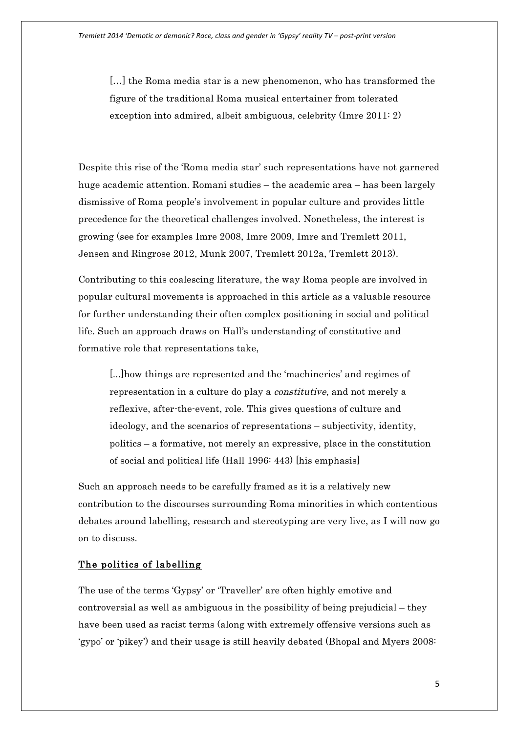[...] the Roma media star is a new phenomenon, who has transformed the figure of the traditional Roma musical entertainer from tolerated exception into admired, albeit ambiguous, celebrity (Imre 2011: 2)

Despite this rise of the 'Roma media star' such representations have not garnered huge academic attention. Romani studies – the academic area – has been largely dismissive of Roma people's involvement in popular culture and provides little precedence for the theoretical challenges involved. Nonetheless, the interest is growing (see for examples Imre 2008, Imre 2009, Imre and Tremlett 2011, Jensen and Ringrose 2012, Munk 2007, Tremlett 2012a, Tremlett 2013).

Contributing to this coalescing literature, the way Roma people are involved in popular cultural movements is approached in this article as a valuable resource for further understanding their often complex positioning in social and political life. Such an approach draws on Hall's understanding of constitutive and formative role that representations take,

[...]how things are represented and the 'machineries' and regimes of representation in a culture do play a constitutive, and not merely a reflexive, after-the-event, role. This gives questions of culture and ideology, and the scenarios of representations – subjectivity, identity, politics – a formative, not merely an expressive, place in the constitution of social and political life (Hall 1996: 443) [his emphasis]

Such an approach needs to be carefully framed as it is a relatively new contribution to the discourses surrounding Roma minorities in which contentious debates around labelling, research and stereotyping are very live, as I will now go on to discuss.

### The politics of labelling

The use of the terms 'Gypsy' or 'Traveller' are often highly emotive and controversial as well as ambiguous in the possibility of being prejudicial – they have been used as racist terms (along with extremely offensive versions such as 'gypo' or 'pikey') and their usage is still heavily debated (Bhopal and Myers 2008: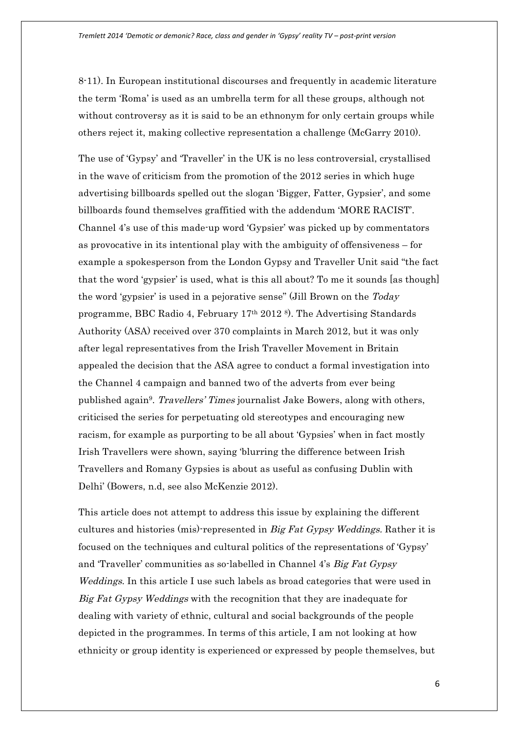8-11). In European institutional discourses and frequently in academic literature the term 'Roma' is used as an umbrella term for all these groups, although not without controversy as it is said to be an ethnonym for only certain groups while others reject it, making collective representation a challenge (McGarry 2010).

The use of 'Gypsy' and 'Traveller' in the UK is no less controversial, crystallised in the wave of criticism from the promotion of the 2012 series in which huge advertising billboards spelled out the slogan 'Bigger, Fatter, Gypsier', and some billboards found themselves graffitied with the addendum 'MORE RACIST'. Channel 4's use of this made-up word 'Gypsier' was picked up by commentators as provocative in its intentional play with the ambiguity of offensiveness – for example a spokesperson from the London Gypsy and Traveller Unit said "the fact that the word 'gypsier' is used, what is this all about? To me it sounds [as though] the word 'gypsier' is used in a pejorative sense" (Jill Brown on the Today programme, BBC Radio 4, February 17th 2012 8). The Advertising Standards Authority (ASA) received over 370 complaints in March 2012, but it was only after legal representatives from the Irish Traveller Movement in Britain appealed the decision that the ASA agree to conduct a formal investigation into the Channel 4 campaign and banned two of the adverts from ever being published again9. Travellers' Times journalist Jake Bowers, along with others, criticised the series for perpetuating old stereotypes and encouraging new racism, for example as purporting to be all about 'Gypsies' when in fact mostly Irish Travellers were shown, saying 'blurring the difference between Irish Travellers and Romany Gypsies is about as useful as confusing Dublin with Delhi' (Bowers, n.d, see also McKenzie 2012).

This article does not attempt to address this issue by explaining the different cultures and histories (mis)-represented in Big Fat Gypsy Weddings. Rather it is focused on the techniques and cultural politics of the representations of 'Gypsy' and 'Traveller' communities as so-labelled in Channel 4's Big Fat Gypsy Weddings. In this article I use such labels as broad categories that were used in Big Fat Gypsy Weddings with the recognition that they are inadequate for dealing with variety of ethnic, cultural and social backgrounds of the people depicted in the programmes. In terms of this article, I am not looking at how ethnicity or group identity is experienced or expressed by people themselves, but

6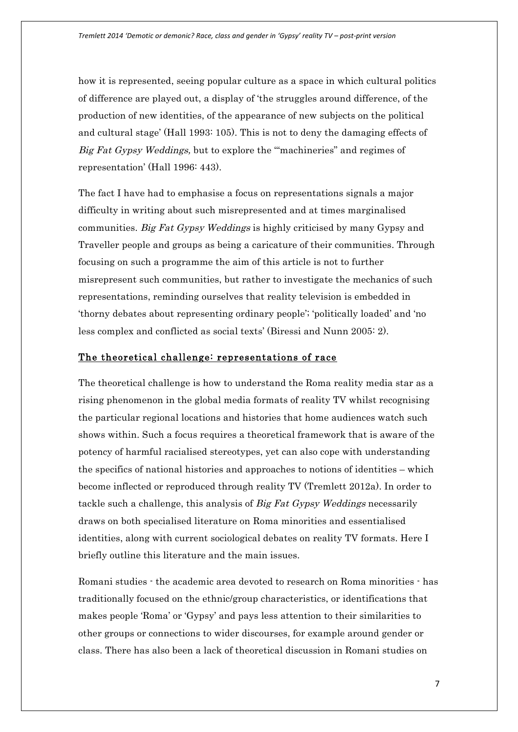how it is represented, seeing popular culture as a space in which cultural politics of difference are played out, a display of 'the struggles around difference, of the production of new identities, of the appearance of new subjects on the political and cultural stage' (Hall 1993: 105). This is not to deny the damaging effects of Big Fat Gypsy Weddings, but to explore the '"machineries" and regimes of representation' (Hall 1996: 443).

The fact I have had to emphasise a focus on representations signals a major difficulty in writing about such misrepresented and at times marginalised communities. Big Fat Gypsy Weddings is highly criticised by many Gypsy and Traveller people and groups as being a caricature of their communities. Through focusing on such a programme the aim of this article is not to further misrepresent such communities, but rather to investigate the mechanics of such representations, reminding ourselves that reality television is embedded in 'thorny debates about representing ordinary people'; 'politically loaded' and 'no less complex and conflicted as social texts' (Biressi and Nunn 2005: 2).

#### The theoretical challenge: representations of race

The theoretical challenge is how to understand the Roma reality media star as a rising phenomenon in the global media formats of reality TV whilst recognising the particular regional locations and histories that home audiences watch such shows within. Such a focus requires a theoretical framework that is aware of the potency of harmful racialised stereotypes, yet can also cope with understanding the specifics of national histories and approaches to notions of identities – which become inflected or reproduced through reality TV (Tremlett 2012a). In order to tackle such a challenge, this analysis of Big Fat Gypsy Weddings necessarily draws on both specialised literature on Roma minorities and essentialised identities, along with current sociological debates on reality TV formats. Here I briefly outline this literature and the main issues.

Romani studies - the academic area devoted to research on Roma minorities - has traditionally focused on the ethnic/group characteristics, or identifications that makes people 'Roma' or 'Gypsy' and pays less attention to their similarities to other groups or connections to wider discourses, for example around gender or class. There has also been a lack of theoretical discussion in Romani studies on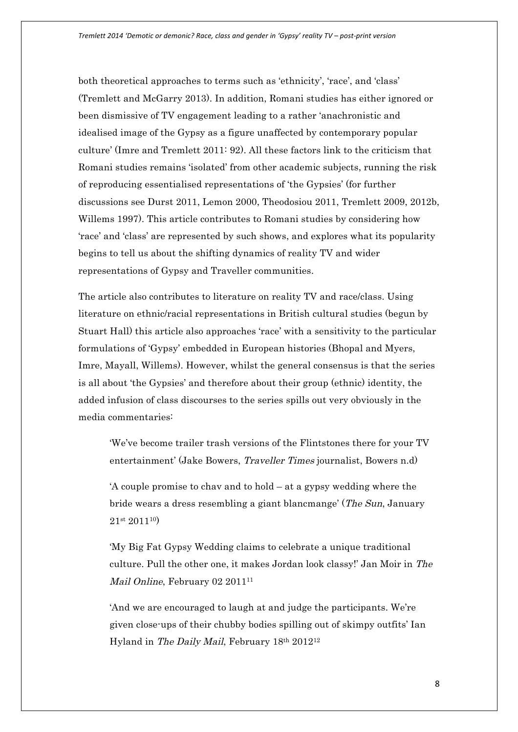both theoretical approaches to terms such as 'ethnicity', 'race', and 'class' (Tremlett and McGarry 2013). In addition, Romani studies has either ignored or been dismissive of TV engagement leading to a rather 'anachronistic and idealised image of the Gypsy as a figure unaffected by contemporary popular culture' (Imre and Tremlett 2011: 92). All these factors link to the criticism that Romani studies remains 'isolated' from other academic subjects, running the risk of reproducing essentialised representations of 'the Gypsies' (for further discussions see Durst 2011, Lemon 2000, Theodosiou 2011, Tremlett 2009, 2012b, Willems 1997). This article contributes to Romani studies by considering how 'race' and 'class' are represented by such shows, and explores what its popularity begins to tell us about the shifting dynamics of reality TV and wider representations of Gypsy and Traveller communities.

The article also contributes to literature on reality TV and race/class. Using literature on ethnic/racial representations in British cultural studies (begun by Stuart Hall) this article also approaches 'race' with a sensitivity to the particular formulations of 'Gypsy' embedded in European histories (Bhopal and Myers, Imre, Mayall, Willems). However, whilst the general consensus is that the series is all about 'the Gypsies' and therefore about their group (ethnic) identity, the added infusion of class discourses to the series spills out very obviously in the media commentaries:

'We've become trailer trash versions of the Flintstones there for your TV entertainment' (Jake Bowers, Traveller Times journalist, Bowers n.d)

'A couple promise to chav and to hold – at a gypsy wedding where the bride wears a dress resembling a giant blancmange' (The Sun, January 21st 201110)

'My Big Fat Gypsy Wedding claims to celebrate a unique traditional culture. Pull the other one, it makes Jordan look classy!' Jan Moir in The Mail Online, February 02 2011<sup>11</sup>

'And we are encouraged to laugh at and judge the participants. We're given close-ups of their chubby bodies spilling out of skimpy outfits' Ian Hyland in The Daily Mail, February 18th 201212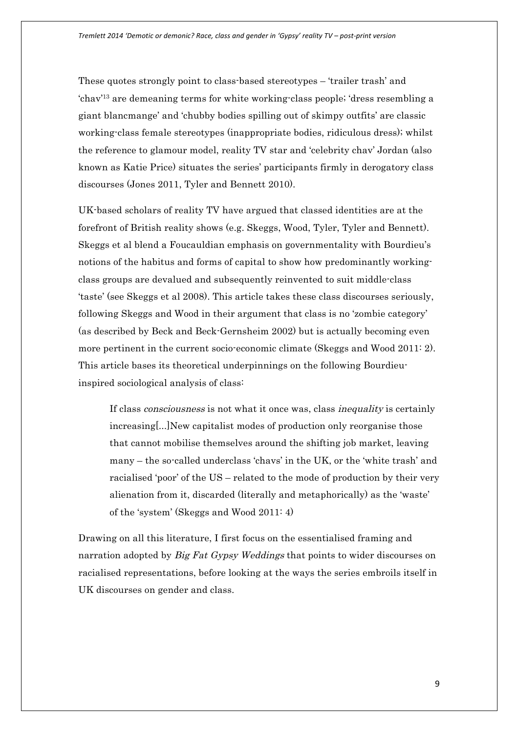These quotes strongly point to class-based stereotypes – 'trailer trash' and 'chav'13 are demeaning terms for white working-class people; 'dress resembling a giant blancmange' and 'chubby bodies spilling out of skimpy outfits' are classic working-class female stereotypes (inappropriate bodies, ridiculous dress); whilst the reference to glamour model, reality TV star and 'celebrity chav' Jordan (also known as Katie Price) situates the series' participants firmly in derogatory class discourses (Jones 2011, Tyler and Bennett 2010).

UK-based scholars of reality TV have argued that classed identities are at the forefront of British reality shows (e.g. Skeggs, Wood, Tyler, Tyler and Bennett). Skeggs et al blend a Foucauldian emphasis on governmentality with Bourdieu's notions of the habitus and forms of capital to show how predominantly workingclass groups are devalued and subsequently reinvented to suit middle-class 'taste' (see Skeggs et al 2008). This article takes these class discourses seriously, following Skeggs and Wood in their argument that class is no 'zombie category' (as described by Beck and Beck-Gernsheim 2002) but is actually becoming even more pertinent in the current socio-economic climate (Skeggs and Wood 2011: 2). This article bases its theoretical underpinnings on the following Bourdieuinspired sociological analysis of class:

If class consciousness is not what it once was, class inequality is certainly increasing[...]New capitalist modes of production only reorganise those that cannot mobilise themselves around the shifting job market, leaving many – the so-called underclass 'chavs' in the UK, or the 'white trash' and racialised 'poor' of the US – related to the mode of production by their very alienation from it, discarded (literally and metaphorically) as the 'waste' of the 'system' (Skeggs and Wood 2011: 4)

Drawing on all this literature, I first focus on the essentialised framing and narration adopted by Big Fat Gypsy Weddings that points to wider discourses on racialised representations, before looking at the ways the series embroils itself in UK discourses on gender and class.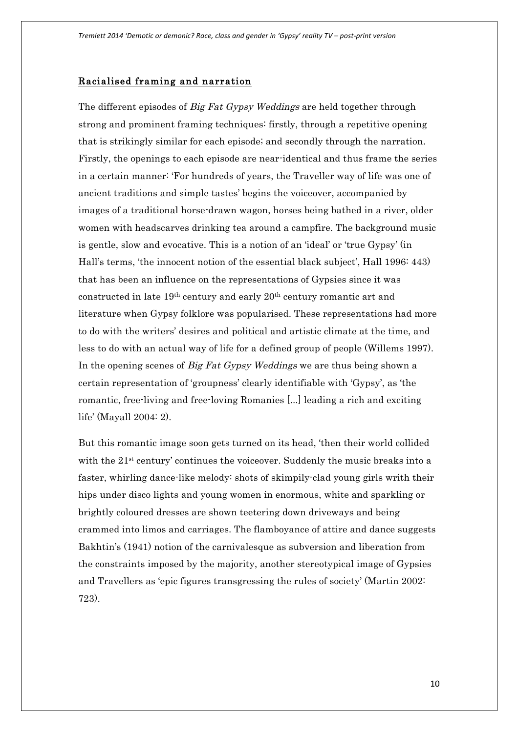### Racialised framing and narration

The different episodes of *Big Fat Gypsy Weddings* are held together through strong and prominent framing techniques: firstly, through a repetitive opening that is strikingly similar for each episode; and secondly through the narration. Firstly, the openings to each episode are near-identical and thus frame the series in a certain manner: 'For hundreds of years, the Traveller way of life was one of ancient traditions and simple tastes' begins the voiceover, accompanied by images of a traditional horse-drawn wagon, horses being bathed in a river, older women with headscarves drinking tea around a campfire. The background music is gentle, slow and evocative. This is a notion of an 'ideal' or 'true Gypsy' (in Hall's terms, 'the innocent notion of the essential black subject', Hall 1996: 443) that has been an influence on the representations of Gypsies since it was constructed in late 19th century and early 20th century romantic art and literature when Gypsy folklore was popularised. These representations had more to do with the writers' desires and political and artistic climate at the time, and less to do with an actual way of life for a defined group of people (Willems 1997). In the opening scenes of Big Fat Gypsy Weddings we are thus being shown a certain representation of 'groupness' clearly identifiable with 'Gypsy', as 'the romantic, free-living and free-loving Romanies [...] leading a rich and exciting life' (Mayall 2004: 2).

But this romantic image soon gets turned on its head, 'then their world collided with the 21<sup>st</sup> century' continues the voiceover. Suddenly the music breaks into a faster, whirling dance-like melody: shots of skimpily-clad young girls writh their hips under disco lights and young women in enormous, white and sparkling or brightly coloured dresses are shown teetering down driveways and being crammed into limos and carriages. The flamboyance of attire and dance suggests Bakhtin's (1941) notion of the carnivalesque as subversion and liberation from the constraints imposed by the majority, another stereotypical image of Gypsies and Travellers as 'epic figures transgressing the rules of society' (Martin 2002: 723).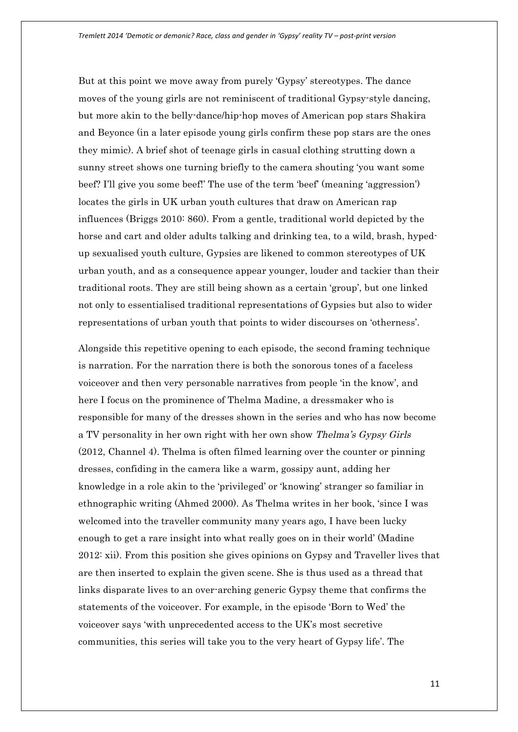But at this point we move away from purely 'Gypsy' stereotypes. The dance moves of the young girls are not reminiscent of traditional Gypsy-style dancing, but more akin to the belly-dance/hip-hop moves of American pop stars Shakira and Beyonce (in a later episode young girls confirm these pop stars are the ones they mimic). A brief shot of teenage girls in casual clothing strutting down a sunny street shows one turning briefly to the camera shouting 'you want some beef? I'll give you some beef!' The use of the term 'beef' (meaning 'aggression') locates the girls in UK urban youth cultures that draw on American rap influences (Briggs 2010: 860). From a gentle, traditional world depicted by the horse and cart and older adults talking and drinking tea, to a wild, brash, hypedup sexualised youth culture, Gypsies are likened to common stereotypes of UK urban youth, and as a consequence appear younger, louder and tackier than their traditional roots. They are still being shown as a certain 'group', but one linked not only to essentialised traditional representations of Gypsies but also to wider representations of urban youth that points to wider discourses on 'otherness'.

Alongside this repetitive opening to each episode, the second framing technique is narration. For the narration there is both the sonorous tones of a faceless voiceover and then very personable narratives from people 'in the know', and here I focus on the prominence of Thelma Madine, a dressmaker who is responsible for many of the dresses shown in the series and who has now become a TV personality in her own right with her own show Thelma's Gypsy Girls (2012, Channel 4). Thelma is often filmed learning over the counter or pinning dresses, confiding in the camera like a warm, gossipy aunt, adding her knowledge in a role akin to the 'privileged' or 'knowing' stranger so familiar in ethnographic writing (Ahmed 2000). As Thelma writes in her book, 'since I was welcomed into the traveller community many years ago, I have been lucky enough to get a rare insight into what really goes on in their world' (Madine 2012: xii). From this position she gives opinions on Gypsy and Traveller lives that are then inserted to explain the given scene. She is thus used as a thread that links disparate lives to an over-arching generic Gypsy theme that confirms the statements of the voiceover. For example, in the episode 'Born to Wed' the voiceover says 'with unprecedented access to the UK's most secretive communities, this series will take you to the very heart of Gypsy life'. The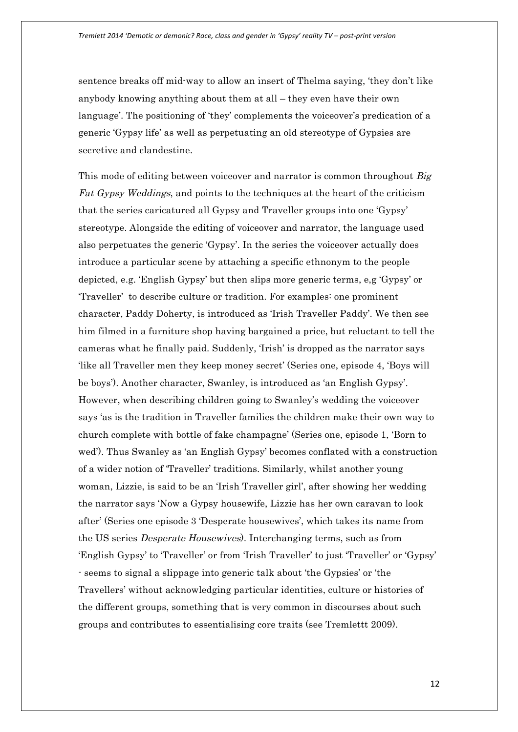sentence breaks off mid-way to allow an insert of Thelma saying, 'they don't like anybody knowing anything about them at all – they even have their own language'. The positioning of 'they' complements the voiceover's predication of a generic 'Gypsy life' as well as perpetuating an old stereotype of Gypsies are secretive and clandestine.

This mode of editing between voiceover and narrator is common throughout Big Fat Gypsy Weddings, and points to the techniques at the heart of the criticism that the series caricatured all Gypsy and Traveller groups into one 'Gypsy' stereotype. Alongside the editing of voiceover and narrator, the language used also perpetuates the generic 'Gypsy'. In the series the voiceover actually does introduce a particular scene by attaching a specific ethnonym to the people depicted, e.g. 'English Gypsy' but then slips more generic terms, e,g 'Gypsy' or 'Traveller' to describe culture or tradition. For examples: one prominent character, Paddy Doherty, is introduced as 'Irish Traveller Paddy'. We then see him filmed in a furniture shop having bargained a price, but reluctant to tell the cameras what he finally paid. Suddenly, 'Irish' is dropped as the narrator says 'like all Traveller men they keep money secret' (Series one, episode 4, 'Boys will be boys'). Another character, Swanley, is introduced as 'an English Gypsy'. However, when describing children going to Swanley's wedding the voiceover says 'as is the tradition in Traveller families the children make their own way to church complete with bottle of fake champagne' (Series one, episode 1, 'Born to wed'). Thus Swanley as 'an English Gypsy' becomes conflated with a construction of a wider notion of 'Traveller' traditions. Similarly, whilst another young woman, Lizzie, is said to be an 'Irish Traveller girl', after showing her wedding the narrator says 'Now a Gypsy housewife, Lizzie has her own caravan to look after' (Series one episode 3 'Desperate housewives', which takes its name from the US series Desperate Housewives). Interchanging terms, such as from 'English Gypsy' to 'Traveller' or from 'Irish Traveller' to just 'Traveller' or 'Gypsy' - seems to signal a slippage into generic talk about 'the Gypsies' or 'the Travellers' without acknowledging particular identities, culture or histories of the different groups, something that is very common in discourses about such groups and contributes to essentialising core traits (see Tremlettt 2009).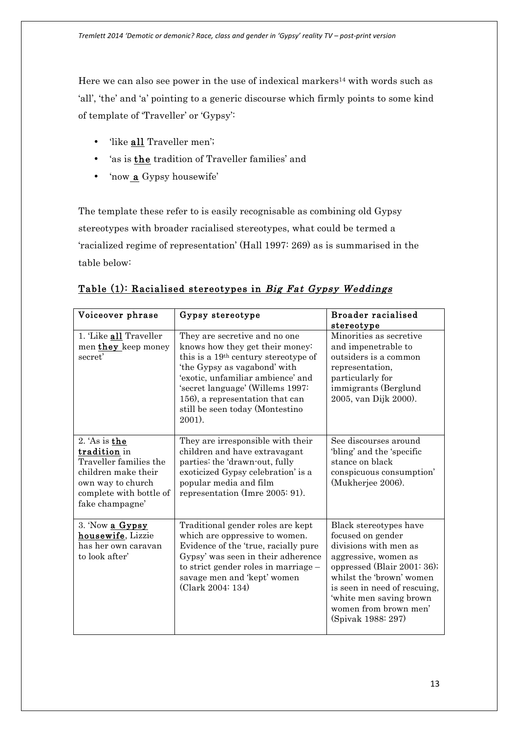Here we can also see power in the use of indexical markers<sup>14</sup> with words such as 'all', 'the' and 'a' pointing to a generic discourse which firmly points to some kind of template of 'Traveller' or 'Gypsy':

- 'like all Traveller men';
- 'as is **the** tradition of Traveller families' and
- 'now **a** Gypsy housewife'

The template these refer to is easily recognisable as combining old Gypsy stereotypes with broader racialised stereotypes, what could be termed a 'racialized regime of representation' (Hall 1997: 269) as is summarised in the table below:

| Voiceover phrase                                                                                                                                 | Gypsy stereotype                                                                                                                                                                                                                                                                                                 | <b>Broader racialised</b><br>stereotype                                                                                                                                                                                                                             |
|--------------------------------------------------------------------------------------------------------------------------------------------------|------------------------------------------------------------------------------------------------------------------------------------------------------------------------------------------------------------------------------------------------------------------------------------------------------------------|---------------------------------------------------------------------------------------------------------------------------------------------------------------------------------------------------------------------------------------------------------------------|
| 1. Like all Traveller<br>men they keep money<br>secret'                                                                                          | They are secretive and no one<br>knows how they get their money:<br>this is a 19 <sup>th</sup> century stereotype of<br>'the Gypsy as vagabond' with<br>'exotic, unfamiliar ambience' and<br>'secret language' (Willems 1997:<br>156), a representation that can<br>still be seen today (Montestino<br>$2001$ ). | Minorities as secretive<br>and impenetrable to<br>outsiders is a common<br>representation,<br>particularly for<br>immigrants (Berglund<br>2005, van Dijk 2000).                                                                                                     |
| 2. As is the<br>tradition in<br>Traveller families the<br>children make their<br>own way to church<br>complete with bottle of<br>fake champagne' | They are irresponsible with their<br>children and have extravagant<br>parties: the 'drawn-out, fully<br>exoticized Gypsy celebration' is a<br>popular media and film<br>representation (Imre 2005: 91).                                                                                                          | See discourses around<br>'bling' and the 'specific<br>stance on black<br>conspicuous consumption'<br>(Mukherjee 2006).                                                                                                                                              |
| 3. Now a Gypsy<br>housewife, Lizzie<br>has her own caravan<br>to look after'                                                                     | Traditional gender roles are kept<br>which are oppressive to women.<br>Evidence of the 'true, racially pure<br>Gypsy' was seen in their adherence<br>to strict gender roles in marriage -<br>savage men and 'kept' women<br>(Clark 2004: 134)                                                                    | Black stereotypes have<br>focused on gender<br>divisions with men as<br>aggressive, women as<br>oppressed (Blair $2001:36$ );<br>whilst the 'brown' women<br>is seen in need of rescuing,<br>'white men saving brown<br>women from brown men'<br>(Spivak 1988: 297) |

## Table (1): Racialised stereotypes in Big Fat Gypsy Weddings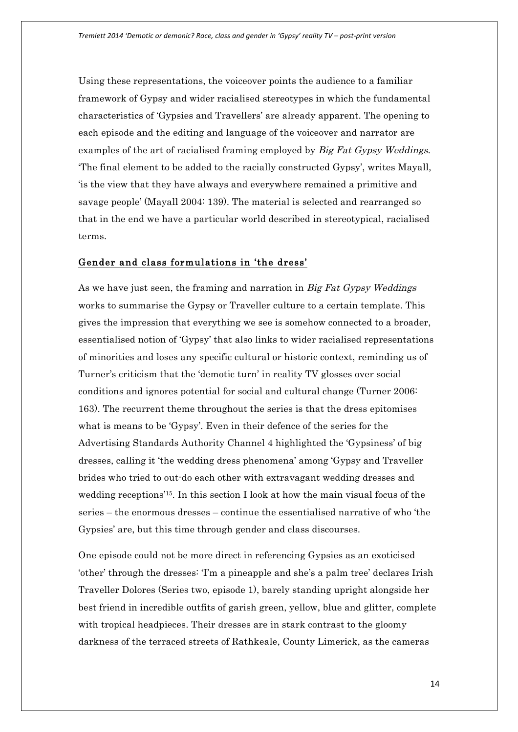Using these representations, the voiceover points the audience to a familiar framework of Gypsy and wider racialised stereotypes in which the fundamental characteristics of 'Gypsies and Travellers' are already apparent. The opening to each episode and the editing and language of the voiceover and narrator are examples of the art of racialised framing employed by *Big Fat Gypsy Weddings*. 'The final element to be added to the racially constructed Gypsy', writes Mayall, 'is the view that they have always and everywhere remained a primitive and savage people' (Mayall 2004: 139). The material is selected and rearranged so that in the end we have a particular world described in stereotypical, racialised terms.

### Gender and class formulations in 'the dress'

As we have just seen, the framing and narration in Big Fat Gypsy Weddings works to summarise the Gypsy or Traveller culture to a certain template. This gives the impression that everything we see is somehow connected to a broader, essentialised notion of 'Gypsy' that also links to wider racialised representations of minorities and loses any specific cultural or historic context, reminding us of Turner's criticism that the 'demotic turn' in reality TV glosses over social conditions and ignores potential for social and cultural change (Turner 2006: 163). The recurrent theme throughout the series is that the dress epitomises what is means to be 'Gypsy'. Even in their defence of the series for the Advertising Standards Authority Channel 4 highlighted the 'Gypsiness' of big dresses, calling it 'the wedding dress phenomena' among 'Gypsy and Traveller brides who tried to out-do each other with extravagant wedding dresses and wedding receptions'15. In this section I look at how the main visual focus of the series – the enormous dresses – continue the essentialised narrative of who 'the Gypsies' are, but this time through gender and class discourses.

One episode could not be more direct in referencing Gypsies as an exoticised 'other' through the dresses: 'I'm a pineapple and she's a palm tree' declares Irish Traveller Dolores (Series two, episode 1), barely standing upright alongside her best friend in incredible outfits of garish green, yellow, blue and glitter, complete with tropical headpieces. Their dresses are in stark contrast to the gloomy darkness of the terraced streets of Rathkeale, County Limerick, as the cameras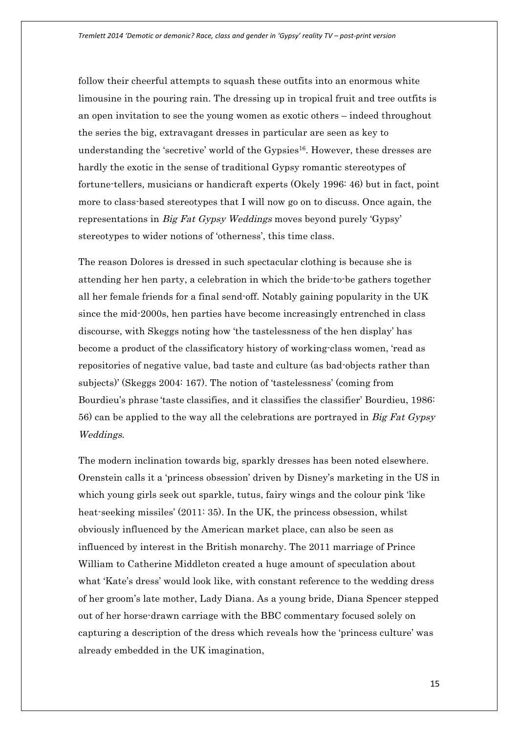follow their cheerful attempts to squash these outfits into an enormous white limousine in the pouring rain. The dressing up in tropical fruit and tree outfits is an open invitation to see the young women as exotic others – indeed throughout the series the big, extravagant dresses in particular are seen as key to understanding the 'secretive' world of the Gypsies<sup>16</sup>. However, these dresses are hardly the exotic in the sense of traditional Gypsy romantic stereotypes of fortune-tellers, musicians or handicraft experts (Okely 1996: 46) but in fact, point more to class-based stereotypes that I will now go on to discuss. Once again, the representations in Big Fat Gypsy Weddings moves beyond purely 'Gypsy' stereotypes to wider notions of 'otherness', this time class.

The reason Dolores is dressed in such spectacular clothing is because she is attending her hen party, a celebration in which the bride-to-be gathers together all her female friends for a final send-off. Notably gaining popularity in the UK since the mid-2000s, hen parties have become increasingly entrenched in class discourse, with Skeggs noting how 'the tastelessness of the hen display' has become a product of the classificatory history of working-class women, 'read as repositories of negative value, bad taste and culture (as bad-objects rather than subjects)' (Skeggs 2004: 167). The notion of 'tastelessness' (coming from Bourdieu's phrase 'taste classifies, and it classifies the classifier' Bourdieu, 1986: 56) can be applied to the way all the celebrations are portrayed in Big Fat Gypsy Weddings.

The modern inclination towards big, sparkly dresses has been noted elsewhere. Orenstein calls it a 'princess obsession' driven by Disney's marketing in the US in which young girls seek out sparkle, tutus, fairy wings and the colour pink 'like heat-seeking missiles' (2011: 35). In the UK, the princess obsession, whilst obviously influenced by the American market place, can also be seen as influenced by interest in the British monarchy. The 2011 marriage of Prince William to Catherine Middleton created a huge amount of speculation about what 'Kate's dress' would look like, with constant reference to the wedding dress of her groom's late mother, Lady Diana. As a young bride, Diana Spencer stepped out of her horse-drawn carriage with the BBC commentary focused solely on capturing a description of the dress which reveals how the 'princess culture' was already embedded in the UK imagination,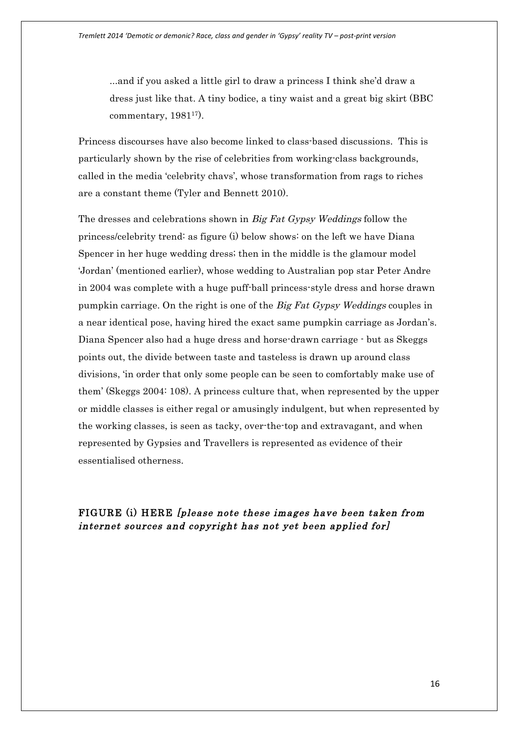...and if you asked a little girl to draw a princess I think she'd draw a dress just like that. A tiny bodice, a tiny waist and a great big skirt (BBC commentary,  $1981^{17}$ ).

Princess discourses have also become linked to class-based discussions. This is particularly shown by the rise of celebrities from working-class backgrounds, called in the media 'celebrity chavs', whose transformation from rags to riches are a constant theme (Tyler and Bennett 2010).

The dresses and celebrations shown in Big Fat Gypsy Weddings follow the princess/celebrity trend: as figure (i) below shows: on the left we have Diana Spencer in her huge wedding dress; then in the middle is the glamour model 'Jordan' (mentioned earlier), whose wedding to Australian pop star Peter Andre in 2004 was complete with a huge puff-ball princess-style dress and horse drawn pumpkin carriage. On the right is one of the Big Fat Gypsy Weddings couples in a near identical pose, having hired the exact same pumpkin carriage as Jordan's. Diana Spencer also had a huge dress and horse-drawn carriage - but as Skeggs points out, the divide between taste and tasteless is drawn up around class divisions, 'in order that only some people can be seen to comfortably make use of them' (Skeggs 2004: 108). A princess culture that, when represented by the upper or middle classes is either regal or amusingly indulgent, but when represented by the working classes, is seen as tacky, over-the-top and extravagant, and when represented by Gypsies and Travellers is represented as evidence of their essentialised otherness.

## FIGURE (i) HERE [please note these images have been taken from internet sources and copyright has not yet been applied for]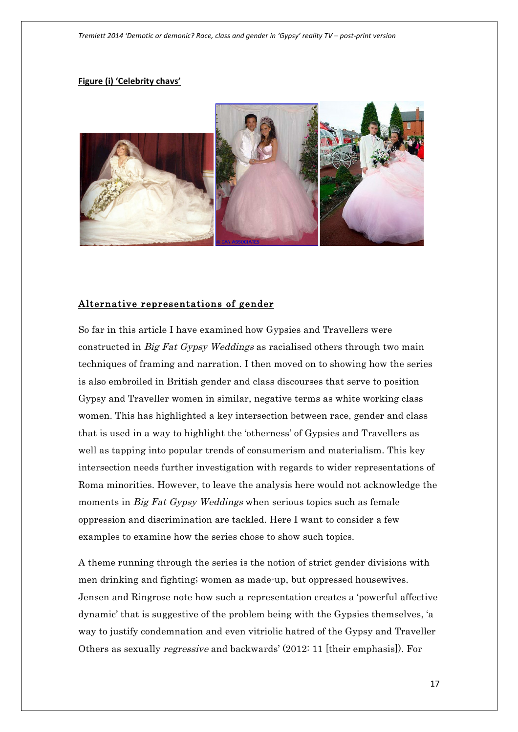#### **Figure (i) 'Celebrity chavs'**



## Alternative representations of gender

So far in this article I have examined how Gypsies and Travellers were constructed in Big Fat Gypsy Weddings as racialised others through two main techniques of framing and narration. I then moved on to showing how the series is also embroiled in British gender and class discourses that serve to position Gypsy and Traveller women in similar, negative terms as white working class women. This has highlighted a key intersection between race, gender and class that is used in a way to highlight the 'otherness' of Gypsies and Travellers as well as tapping into popular trends of consumerism and materialism. This key intersection needs further investigation with regards to wider representations of Roma minorities. However, to leave the analysis here would not acknowledge the moments in *Big Fat Gypsy Weddings* when serious topics such as female oppression and discrimination are tackled. Here I want to consider a few examples to examine how the series chose to show such topics.

A theme running through the series is the notion of strict gender divisions with men drinking and fighting; women as made-up, but oppressed housewives. Jensen and Ringrose note how such a representation creates a 'powerful affective dynamic' that is suggestive of the problem being with the Gypsies themselves, 'a way to justify condemnation and even vitriolic hatred of the Gypsy and Traveller Others as sexually regressive and backwards' (2012: 11 [their emphasis]). For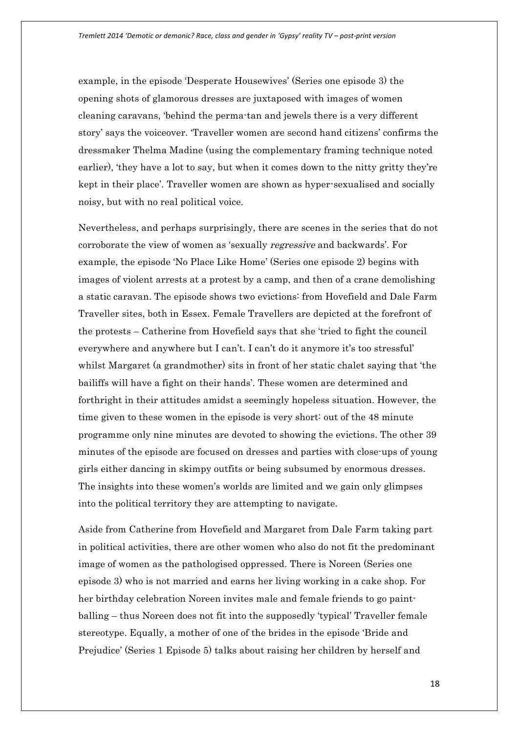example, in the episode 'Desperate Housewives' (Series one episode 3) the opening shots of glamorous dresses are juxtaposed with images of women cleaning caravans, 'behind the perma-tan and jewels there is a very different story' says the voiceover. 'Traveller women are second hand citizens' confirms the dressmaker Thelma Madine (using the complementary framing technique noted earlier), 'they have a lot to say, but when it comes down to the nitty gritty they're kept in their place'. Traveller women are shown as hyper-sexualised and socially noisy, but with no real political voice.

Nevertheless, and perhaps surprisingly, there are scenes in the series that do not corroborate the view of women as 'sexually regressive and backwards'. For example, the episode 'No Place Like Home' (Series one episode 2) begins with images of violent arrests at a protest by a camp, and then of a crane demolishing a static caravan. The episode shows two evictions: from Hovefield and Dale Farm Traveller sites, both in Essex. Female Travellers are depicted at the forefront of the protests – Catherine from Hovefield says that she 'tried to fight the council everywhere and anywhere but I can't. I can't do it anymore it's too stressful' whilst Margaret (a grandmother) sits in front of her static chalet saying that 'the bailiffs will have a fight on their hands'. These women are determined and forthright in their attitudes amidst a seemingly hopeless situation. However, the time given to these women in the episode is very short: out of the 48 minute programme only nine minutes are devoted to showing the evictions. The other 39 minutes of the episode are focused on dresses and parties with close-ups of young girls either dancing in skimpy outfits or being subsumed by enormous dresses. The insights into these women's worlds are limited and we gain only glimpses into the political territory they are attempting to navigate.

Aside from Catherine from Hovefield and Margaret from Dale Farm taking part in political activities, there are other women who also do not fit the predominant image of women as the pathologised oppressed. There is Noreen (Series one episode 3) who is not married and earns her living working in a cake shop. For her birthday celebration Noreen invites male and female friends to go paintballing – thus Noreen does not fit into the supposedly 'typical' Traveller female stereotype. Equally, a mother of one of the brides in the episode 'Bride and Prejudice' (Series 1 Episode 5) talks about raising her children by herself and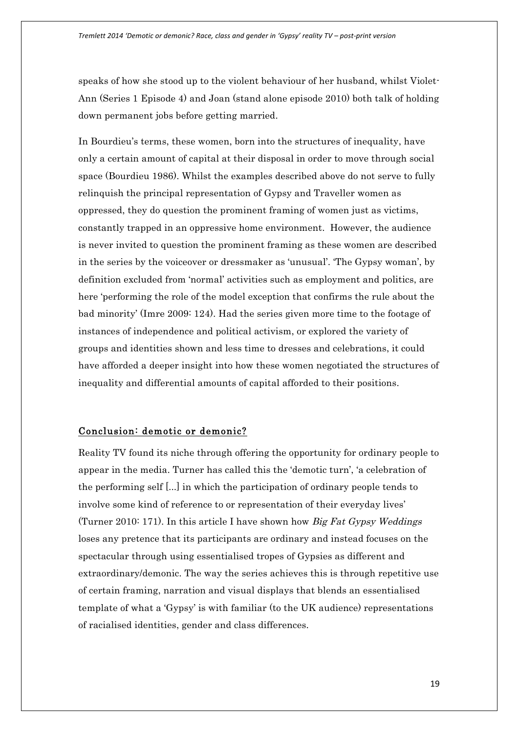speaks of how she stood up to the violent behaviour of her husband, whilst Violet-Ann (Series 1 Episode 4) and Joan (stand alone episode 2010) both talk of holding down permanent jobs before getting married.

In Bourdieu's terms, these women, born into the structures of inequality, have only a certain amount of capital at their disposal in order to move through social space (Bourdieu 1986). Whilst the examples described above do not serve to fully relinquish the principal representation of Gypsy and Traveller women as oppressed, they do question the prominent framing of women just as victims, constantly trapped in an oppressive home environment. However, the audience is never invited to question the prominent framing as these women are described in the series by the voiceover or dressmaker as 'unusual'. 'The Gypsy woman', by definition excluded from 'normal' activities such as employment and politics, are here 'performing the role of the model exception that confirms the rule about the bad minority' (Imre 2009: 124). Had the series given more time to the footage of instances of independence and political activism, or explored the variety of groups and identities shown and less time to dresses and celebrations, it could have afforded a deeper insight into how these women negotiated the structures of inequality and differential amounts of capital afforded to their positions.

#### Conclusion: demotic or demonic?

Reality TV found its niche through offering the opportunity for ordinary people to appear in the media. Turner has called this the 'demotic turn', 'a celebration of the performing self [...] in which the participation of ordinary people tends to involve some kind of reference to or representation of their everyday lives' (Turner 2010: 171). In this article I have shown how Big Fat Gypsy Weddings loses any pretence that its participants are ordinary and instead focuses on the spectacular through using essentialised tropes of Gypsies as different and extraordinary/demonic. The way the series achieves this is through repetitive use of certain framing, narration and visual displays that blends an essentialised template of what a 'Gypsy' is with familiar (to the UK audience) representations of racialised identities, gender and class differences.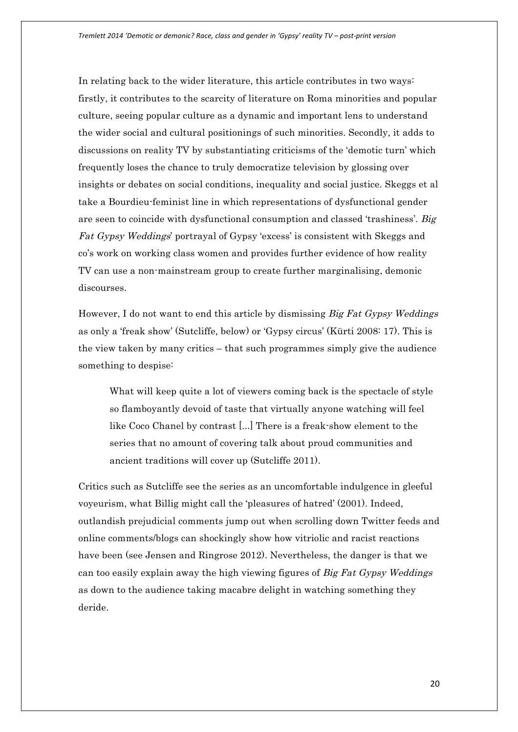In relating back to the wider literature, this article contributes in two ways: firstly, it contributes to the scarcity of literature on Roma minorities and popular culture, seeing popular culture as a dynamic and important lens to understand the wider social and cultural positionings of such minorities. Secondly, it adds to discussions on reality TV by substantiating criticisms of the 'demotic turn' which frequently loses the chance to truly democratize television by glossing over insights or debates on social conditions, inequality and social justice. Skeggs et al take a Bourdieu-feminist line in which representations of dysfunctional gender are seen to coincide with dysfunctional consumption and classed 'trashiness'. Big Fat Gypsy Weddings' portrayal of Gypsy 'excess' is consistent with Skeggs and co's work on working class women and provides further evidence of how reality TV can use a non-mainstream group to create further marginalising, demonic discourses.

However, I do not want to end this article by dismissing Big Fat Gypsy Weddings as only a 'freak show' (Sutcliffe, below) or 'Gypsy circus' (Kürti 2008: 17). This is the view taken by many critics – that such programmes simply give the audience something to despise:

What will keep quite a lot of viewers coming back is the spectacle of style so flamboyantly devoid of taste that virtually anyone watching will feel like Coco Chanel by contrast [...] There is a freak-show element to the series that no amount of covering talk about proud communities and ancient traditions will cover up (Sutcliffe 2011).

Critics such as Sutcliffe see the series as an uncomfortable indulgence in gleeful voyeurism, what Billig might call the 'pleasures of hatred' (2001). Indeed, outlandish prejudicial comments jump out when scrolling down Twitter feeds and online comments/blogs can shockingly show how vitriolic and racist reactions have been (see Jensen and Ringrose 2012). Nevertheless, the danger is that we can too easily explain away the high viewing figures of Big Fat Gypsy Weddings as down to the audience taking macabre delight in watching something they deride.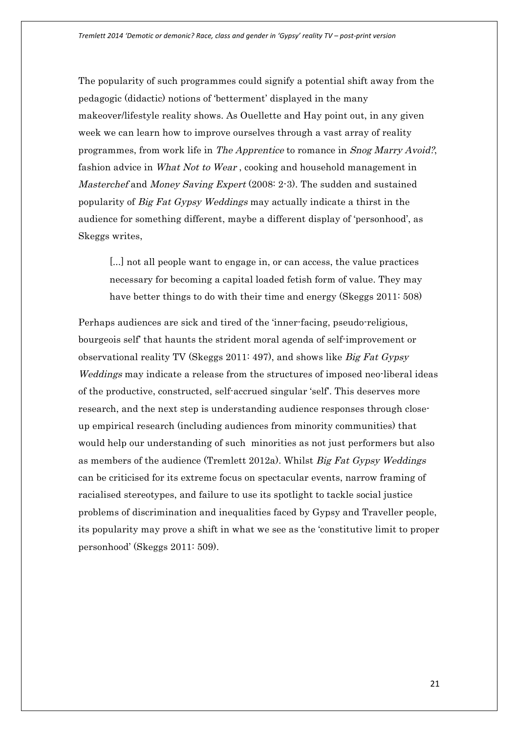The popularity of such programmes could signify a potential shift away from the pedagogic (didactic) notions of 'betterment' displayed in the many makeover/lifestyle reality shows. As Ouellette and Hay point out, in any given week we can learn how to improve ourselves through a vast array of reality programmes, from work life in The Apprentice to romance in Snog Marry Avoid?, fashion advice in What Not to Wear , cooking and household management in Masterchef and Money Saving Expert (2008: 2-3). The sudden and sustained popularity of Big Fat Gypsy Weddings may actually indicate a thirst in the audience for something different, maybe a different display of 'personhood', as Skeggs writes,

[...] not all people want to engage in, or can access, the value practices necessary for becoming a capital loaded fetish form of value. They may have better things to do with their time and energy (Skeggs 2011: 508)

Perhaps audiences are sick and tired of the 'inner-facing, pseudo-religious, bourgeois self' that haunts the strident moral agenda of self-improvement or observational reality TV (Skeggs 2011: 497), and shows like Big Fat Gypsy Weddings may indicate a release from the structures of imposed neo-liberal ideas of the productive, constructed, self-accrued singular 'self'. This deserves more research, and the next step is understanding audience responses through closeup empirical research (including audiences from minority communities) that would help our understanding of such minorities as not just performers but also as members of the audience (Tremlett 2012a). Whilst Big Fat Gypsy Weddings can be criticised for its extreme focus on spectacular events, narrow framing of racialised stereotypes, and failure to use its spotlight to tackle social justice problems of discrimination and inequalities faced by Gypsy and Traveller people, its popularity may prove a shift in what we see as the 'constitutive limit to proper personhood' (Skeggs 2011: 509).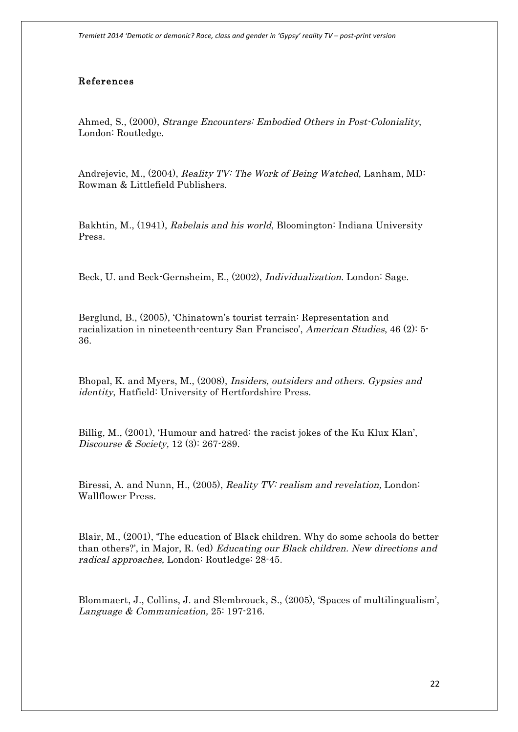### References

Ahmed, S., (2000), Strange Encounters: Embodied Others in Post-Coloniality, London: Routledge.

Andrejevic, M., (2004), Reality TV: The Work of Being Watched, Lanham, MD: Rowman & Littlefield Publishers.

Bakhtin, M., (1941), Rabelais and his world, Bloomington: Indiana University Press.

Beck, U. and Beck-Gernsheim, E., (2002), Individualization. London: Sage.

Berglund, B., (2005), 'Chinatown's tourist terrain: Representation and racialization in nineteenth-century San Francisco', American Studies, 46 (2): 5- 36.

Bhopal, K. and Myers, M., (2008), Insiders, outsiders and others. Gypsies and identity, Hatfield: University of Hertfordshire Press.

Billig, M., (2001), 'Humour and hatred: the racist jokes of the Ku Klux Klan', Discourse & Society, 12 (3): 267-289.

Biressi, A. and Nunn, H., (2005), Reality TV: realism and revelation, London: Wallflower Press.

Blair, M., (2001), 'The education of Black children. Why do some schools do better than others?', in Major, R. (ed) Educating our Black children. New directions and radical approaches, London: Routledge: 28-45.

Blommaert, J., Collins, J. and Slembrouck, S., (2005), 'Spaces of multilingualism', Language & Communication, 25: 197-216.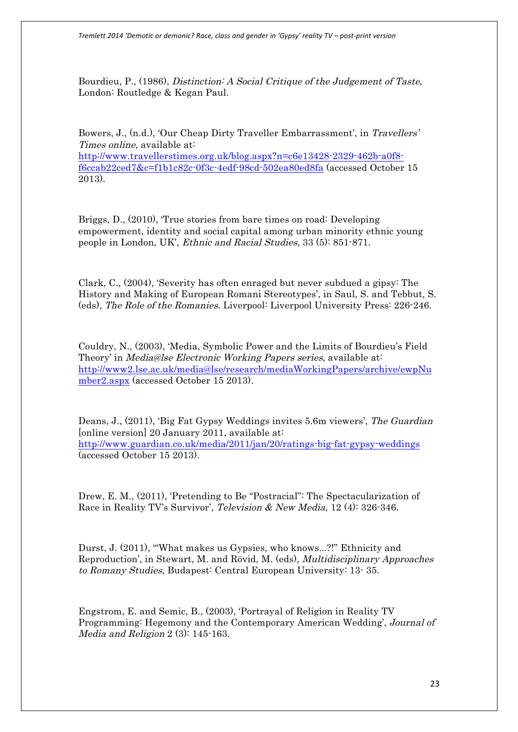Bourdieu, P., (1986), Distinction: A Social Critique of the Judgement of Taste, London: Routledge & Kegan Paul.

Bowers, J., (n.d.), 'Our Cheap Dirty Traveller Embarrassment', in Travellers' Times online, available at: http://www.travellerstimes.org.uk/blog.aspx?n=c6e13428-2329-462b-a0f8 f6ccab22ced7&c=f1b1c82c-0f3c-4edf-98cd-502ea80ed8fa (accessed October 15 2013).

Briggs, D., (2010), 'True stories from bare times on road: Developing empowerment, identity and social capital among urban minority ethnic young people in London, UK', Ethnic and Racial Studies, 33 (5): 851-871.

Clark, C., (2004), 'Severity has often enraged but never subdued a gipsy: The History and Making of European Romani Stereotypes', in Saul, S. and Tebbut, S. (eds), The Role of the Romanies. Liverpool: Liverpool University Press: 226-246.

Couldry, N., (2003), 'Media, Symbolic Power and the Limits of Bourdieu's Field Theory' in Media@lse Electronic Working Papers series, available at: http://www2.lse.ac.uk/media@lse/research/mediaWorkingPapers/archive/ewpNu mber2.aspx (accessed October 15 2013).

Deans, J., (2011), 'Big Fat Gypsy Weddings invites 5.6m viewers', The Guardian [online version] 20 January 2011, available at: http://www.guardian.co.uk/media/2011/jan/20/ratings-big-fat-gypsy-weddings (accessed October 15 2013).

Drew, E. M., (2011), 'Pretending to Be "Postracial": The Spectacularization of Race in Reality TV's Survivor', Television & New Media, 12 (4): 326-346.

Durst, J. (2011), '"What makes us Gypsies, who knows...?!" Ethnicity and Reproduction', in Stewart, M. and Rövid, M. (eds), Multidisciplinary Approaches to Romany Studies, Budapest: Central European University: 13- 35.

Engstrom, E. and Semic, B., (2003), 'Portrayal of Religion in Reality TV Programming: Hegemony and the Contemporary American Wedding', Journal of Media and Religion 2 (3): 145-163.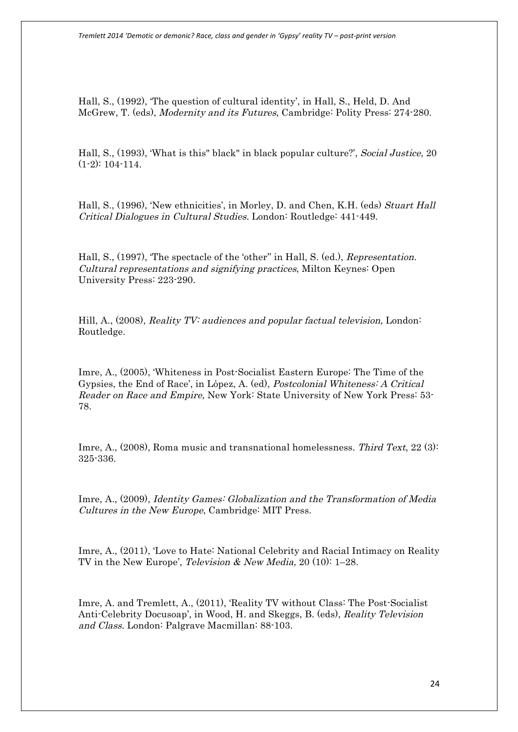Hall, S., (1992), 'The question of cultural identity', in Hall, S., Held, D. And McGrew, T. (eds), Modernity and its Futures, Cambridge: Polity Press: 274-280.

Hall, S., (1993), 'What is this" black" in black popular culture?', Social Justice, 20  $(1-2): 104-114.$ 

Hall, S., (1996), 'New ethnicities', in Morley, D. and Chen, K.H. (eds) Stuart Hall Critical Dialogues in Cultural Studies. London: Routledge: 441-449.

Hall, S., (1997), 'The spectacle of the 'other'' in Hall, S. (ed.), Representation. Cultural representations and signifying practices, Milton Keynes: Open University Press: 223-290.

Hill, A., (2008), Reality TV: audiences and popular factual television, London: Routledge.

Imre, A., (2005), 'Whiteness in Post-Socialist Eastern Europe: The Time of the Gypsies, the End of Race', in Lόpez, A. (ed), Postcolonial Whiteness: A Critical Reader on Race and Empire, New York: State University of New York Press: 53- 78.

Imre, A., (2008), Roma music and transnational homelessness. Third Text, 22 (3): 325-336.

Imre, A., (2009), Identity Games: Globalization and the Transformation of Media Cultures in the New Europe, Cambridge: MIT Press.

Imre, A., (2011), 'Love to Hate: National Celebrity and Racial Intimacy on Reality TV in the New Europe', Television & New Media, 20 (10): 1–28.

Imre, A. and Tremlett, A., (2011), 'Reality TV without Class: The Post-Socialist Anti-Celebrity Docusoap', in Wood, H. and Skeggs, B. (eds), Reality Television and Class. London: Palgrave Macmillan: 88-103.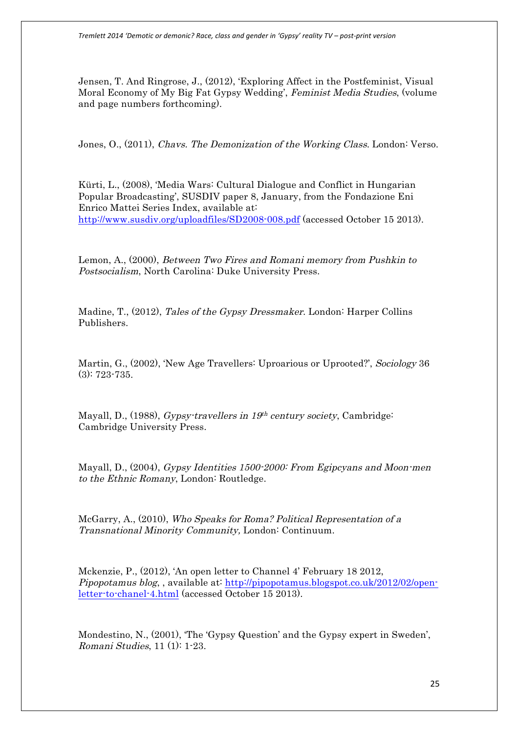Jensen, T. And Ringrose, J., (2012), 'Exploring Affect in the Postfeminist, Visual Moral Economy of My Big Fat Gypsy Wedding', Feminist Media Studies, (volume and page numbers forthcoming).

Jones, O., (2011), Chavs. The Demonization of the Working Class. London: Verso.

Kürti, L., (2008), 'Media Wars: Cultural Dialogue and Conflict in Hungarian Popular Broadcasting', SUSDIV paper 8, January, from the Fondazione Eni Enrico Mattei Series Index, available at: http://www.susdiv.org/uploadfiles/SD2008-008.pdf (accessed October 15 2013).

Lemon, A., (2000), Between Two Fires and Romani memory from Pushkin to Postsocialism, North Carolina: Duke University Press.

Madine, T., (2012), Tales of the Gypsy Dressmaker. London: Harper Collins Publishers.

Martin, G., (2002), 'New Age Travellers: Uproarious or Uprooted?', Sociology 36 (3): 723-735.

Mayall, D., (1988), *Gypsy-travellers in 19<sup>th</sup> century society*, Cambridge<sup>:</sup> Cambridge University Press.

Mayall, D., (2004), Gypsy Identities 1500-2000: From Egipcyans and Moon-men to the Ethnic Romany, London: Routledge.

McGarry, A., (2010), Who Speaks for Roma? Political Representation of a Transnational Minority Community, London: Continuum.

Mckenzie, P., (2012), 'An open letter to Channel 4' February 18 2012, Pipopotamus blog, , available at: http://pipopotamus.blogspot.co.uk/2012/02/openletter-to-chanel-4.html (accessed October 15 2013).

Mondestino, N., (2001), 'The 'Gypsy Question' and the Gypsy expert in Sweden', Romani Studies, 11 (1): 1-23.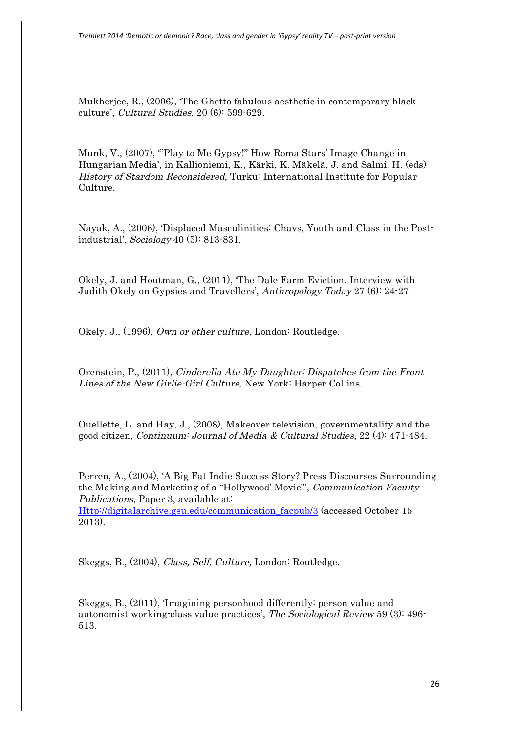Mukherjee, R., (2006), 'The Ghetto fabulous aesthetic in contemporary black culture', Cultural Studies, 20 (6): 599-629.

Munk, V., (2007), '"Play to Me Gypsy!" How Roma Stars' Image Change in Hungarian Media', in Kallioniemi, K., Kärki, K. Mäkelä, J. and Salmi, H. (eds) History of Stardom Reconsidered, Turku: International Institute for Popular Culture.

Nayak, A., (2006), 'Displaced Masculinities: Chavs, Youth and Class in the Postindustrial', Sociology 40 (5): 813-831.

Okely, J. and Houtman, G., (2011), 'The Dale Farm Eviction. Interview with Judith Okely on Gypsies and Travellers', Anthropology Today 27 (6): 24-27.

Okely, J., (1996), Own or other culture, London: Routledge.

Orenstein, P., (2011), Cinderella Ate My Daughter: Dispatches from the Front Lines of the New Girlie-Girl Culture, New York: Harper Collins.

Ouellette, L. and Hay, J., (2008), Makeover television, governmentality and the good citizen, Continuum: Journal of Media & Cultural Studies, 22 (4): 471-484.

Perren, A., (2004), 'A Big Fat Indie Success Story? Press Discourses Surrounding the Making and Marketing of a "Hollywood' Movie"', Communication Faculty Publications, Paper 3, available at: Http://digitalarchive.gsu.edu/communication\_facpub/3 (accessed October 15 2013).

Skeggs, B., (2004), Class, Self, Culture, London: Routledge.

Skeggs, B., (2011), 'Imagining personhood differently: person value and autonomist working-class value practices', The Sociological Review 59 (3): 496- 513.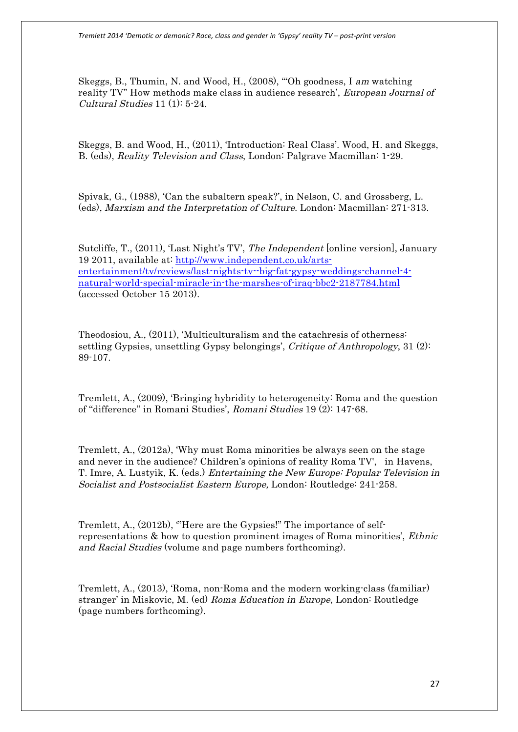Skeggs, B., Thumin, N. and Wood, H., (2008), "'Oh goodness, I am watching reality TV" How methods make class in audience research', *European Journal of* Cultural Studies 11 (1): 5-24.

Skeggs, B. and Wood, H., (2011), 'Introduction: Real Class'. Wood, H. and Skeggs, B. (eds), Reality Television and Class, London: Palgrave Macmillan: 1-29.

Spivak, G., (1988), 'Can the subaltern speak?', in Nelson, C. and Grossberg, L. (eds), Marxism and the Interpretation of Culture. London: Macmillan: 271-313.

Sutcliffe, T., (2011), 'Last Night's TV', The Independent [online version], January 19 2011, available at: http://www.independent.co.uk/artsentertainment/tv/reviews/last-nights-tv--big-fat-gypsy-weddings-channel-4 natural-world-special-miracle-in-the-marshes-of-iraq-bbc2-2187784.html (accessed October 15 2013).

Theodosiou, A., (2011), 'Multiculturalism and the catachresis of otherness: settling Gypsies, unsettling Gypsy belongings', Critique of Anthropology, 31 (2): 89-107.

Tremlett, A., (2009), 'Bringing hybridity to heterogeneity: Roma and the question of ''difference'' in Romani Studies', Romani Studies 19 (2): 147-68.

Tremlett, A., (2012a), 'Why must Roma minorities be always seen on the stage and never in the audience? Children's opinions of reality Roma TV', in Havens, T. Imre, A. Lustyik, K. (eds.) Entertaining the New Europe: Popular Television in Socialist and Postsocialist Eastern Europe, London: Routledge: 241-258.

Tremlett, A.,  $(2012b)$ , "Here are the Gypsies!" The importance of selfrepresentations & how to question prominent images of Roma minorities', Ethnic and Racial Studies (volume and page numbers forthcoming).

Tremlett, A., (2013), 'Roma, non-Roma and the modern working-class (familiar) stranger' in Miskovic, M. (ed) Roma Education in Europe, London: Routledge (page numbers forthcoming).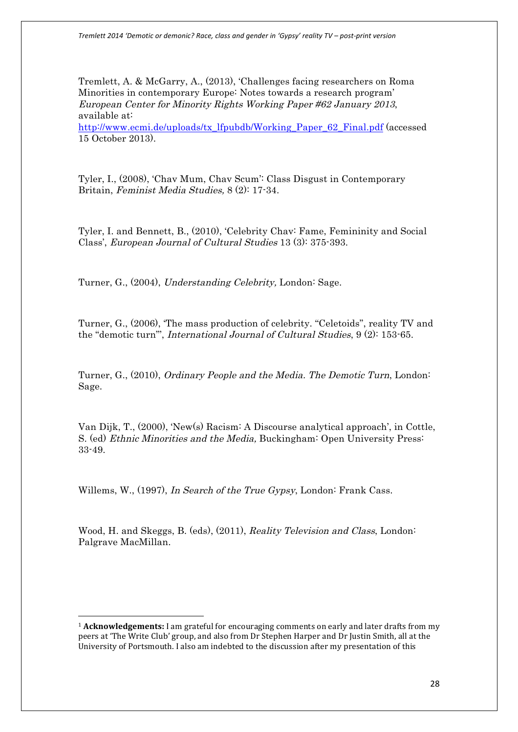Tremlett, A. & McGarry, A., (2013), 'Challenges facing researchers on Roma Minorities in contemporary Europe: Notes towards a research program' European Center for Minority Rights Working Paper #62 January 2013, available at:

http://www.ecmi.de/uploads/tx\_lfpubdb/Working\_Paper\_62\_Final.pdf (accessed 15 October 2013).

Tyler, I., (2008), 'Chav Mum, Chav Scum': Class Disgust in Contemporary Britain, Feminist Media Studies, 8 (2): 17-34.

Tyler, I. and Bennett, B., (2010), 'Celebrity Chav: Fame, Femininity and Social Class', European Journal of Cultural Studies 13 (3): 375-393.

Turner, G., (2004), Understanding Celebrity, London: Sage.

Turner, G., (2006), 'The mass production of celebrity. "Celetoids", reality TV and the "demotic turn"', International Journal of Cultural Studies, 9 (2): 153-65.

Turner, G., (2010), Ordinary People and the Media. The Demotic Turn, London: Sage.

Van Dijk, T., (2000), 'New(s) Racism: A Discourse analytical approach', in Cottle, S. (ed) Ethnic Minorities and the Media, Buckingham: Open University Press: 33-49.

Willems, W., (1997), *In Search of the True Gypsy*, London: Frank Cass.

<u> 1989 - Jan Samuel Barbara, margaret e</u>

Wood, H. and Skeggs, B. (eds), (2011), Reality Television and Class, London: Palgrave MacMillan.

<sup>&</sup>lt;sup>1</sup> **Acknowledgements:** I am grateful for encouraging comments on early and later drafts from my peers at 'The Write Club' group, and also from Dr Stephen Harper and Dr Justin Smith, all at the University of Portsmouth. I also am indebted to the discussion after my presentation of this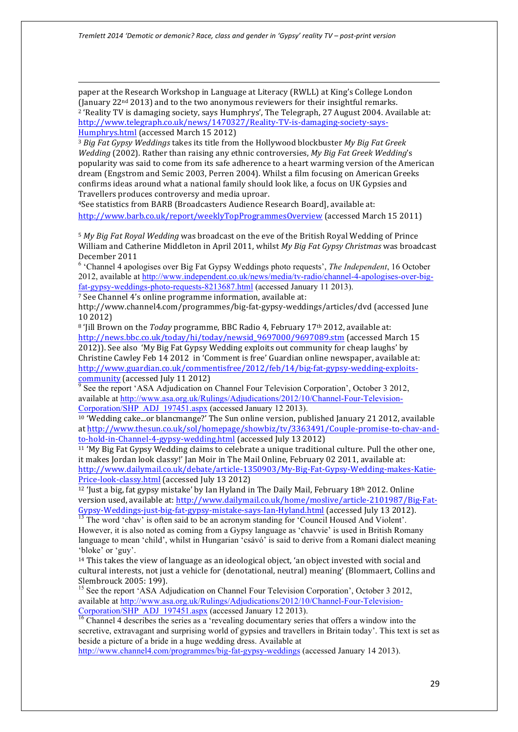paper at the Research Workshop in Language at Literacy (RWLL) at King's College London (January  $22<sup>nd</sup> 2013$ ) and to the two anonymous reviewers for their insightful remarks. <sup>2</sup> 'Reality TV is damaging society, says Humphrys', The Telegraph, 27 August 2004. Available at: http://www.telegraph.co.uk/news/1470327/Reality-TV-is-damaging-society-says-Humphrys.html (accessed March 15 2012) 

<u> 1989 - Andrea Santa Alemania, amerikana amerikana amerikana amerikana amerikana amerikana amerikana amerikan</u>

<sup>3</sup> Big Fat Gypsy Weddings takes its title from the Hollywood blockbuster My Big Fat Greek *Wedding* (2002). Rather than raising any ethnic controversies, *My Big Fat Greek Wedding's* popularity was said to come from its safe adherence to a heart warming version of the American dream (Engstrom and Semic 2003, Perren 2004). Whilst a film focusing on American Greeks confirms ideas around what a national family should look like, a focus on UK Gypsies and Travellers produces controversy and media uproar.

<sup>4</sup>See statistics from BARB (Broadcasters Audience Research Board], available at: http://www.barb.co.uk/report/weeklyTopProgrammesOverview (accessed March 15 2011)

<sup>5</sup> *My Big Fat Royal Wedding* was broadcast on the eve of the British Royal Wedding of Prince William and Catherine Middleton in April 2011, whilst *My Big Fat Gypsy Christmas* was broadcast December 2011

<sup>6</sup> 'Channel 4 apologises over Big Fat Gypsy Weddings photo requests', *The Independent*, 16 October 2012, available at http://www.independent.co.uk/news/media/tv-radio/channel-4-apologises-over-bigfat-gypsy-weddings-photo-requests-8213687.html (accessed January 11 2013).

 $7$  See Channel 4's online programme information, available at:

http://www.channel4.com/programmes/big-fat-gypsy-weddings/articles/dvd (accessed June 10 2012)

<sup>8</sup> 'Jill Brown on the *Today* programme, BBC Radio 4, February 17<sup>th</sup> 2012, available at: http://news.bbc.co.uk/today/hi/today/newsid\_9697000/9697089.stm (accessed March 15 2012)). See also 'My Big Fat Gypsy Wedding exploits out community for cheap laughs' by Christine Cawley Feb 14 2012 in 'Comment is free' Guardian online newspaper, available at: http://www.guardian.co.uk/commentisfree/2012/feb/14/big-fat-gypsy-wedding-exploitscommunity (accessed July 11 2012)<br>
<sup>9</sup> See the report 'ASA Adjudication on Channel Four Television Corporation', October 3 2012,

available at http://www.asa.org.uk/Rulings/Adjudications/2012/10/Channel-Four-Television-Corporation/SHP\_ADJ\_197451.aspx (accessed January 12 2013).

<sup>10</sup> 'Wedding cake...or blancmange?' The Sun online version, published January 21 2012, available at http://www.thesun.co.uk/sol/homepage/showbiz/tv/3363491/Couple-promise-to-chav-andto-hold-in-Channel-4-gypsy-wedding.html (accessed July 13 2012)

 $11$  'My Big Fat Gypsy Wedding claims to celebrate a unique traditional culture. Pull the other one, it makes Jordan look classy!' Jan Moir in The Mail Online, February 02 2011, available at: http://www.dailymail.co.uk/debate/article-1350903/My-Big-Fat-Gypsy-Wedding-makes-Katie-Price-look-classy.html (accessed July 13 2012)

 $12$  'Just a big, fat gypsy mistake' by Ian Hyland in The Daily Mail, February 18<sup>th</sup> 2012. Online version used, available at: http://www.dailymail.co.uk/home/moslive/article-2101987/Big-Fat-Gypsy-Weddings-just-big-fat-gypsy-mistake-says-Ian-Hyland.html (accessed July 13 2012).  $^{13}$  The word 'chav' is often said to be an acronym standing for 'Council Housed And Violent'.

However, it is also noted as coming from a Gypsy language as 'chavvie' is used in British Romany language to mean 'child', whilst in Hungarian 'csávó' is said to derive from a Romani dialect meaning 'bloke' or 'guy'.

 $14$  This takes the view of language as an ideological object, 'an object invested with social and cultural interests, not just a vehicle for (denotational, neutral) meaning' (Blommaert, Collins and

Slembrouck 2005: 199).<br><sup>15</sup> See the report 'ASA Adjudication on Channel Four Television Corporation', October 3 2012, available at http://www.asa.org.uk/Rulings/Adjudications/2012/10/Channel-Four-Television-

Corporation/SHP\_ADJ\_197451.aspx (accessed January 12 2013).  $^{16}$  Channel 4 describes the series as a 'revealing documentary series that offers a window into the secretive, extravagant and surprising world of gypsies and travellers in Britain today'. This text is set as beside a picture of a bride in a huge wedding dress. Available at

http://www.channel4.com/programmes/big-fat-gypsy-weddings (accessed January 14 2013).